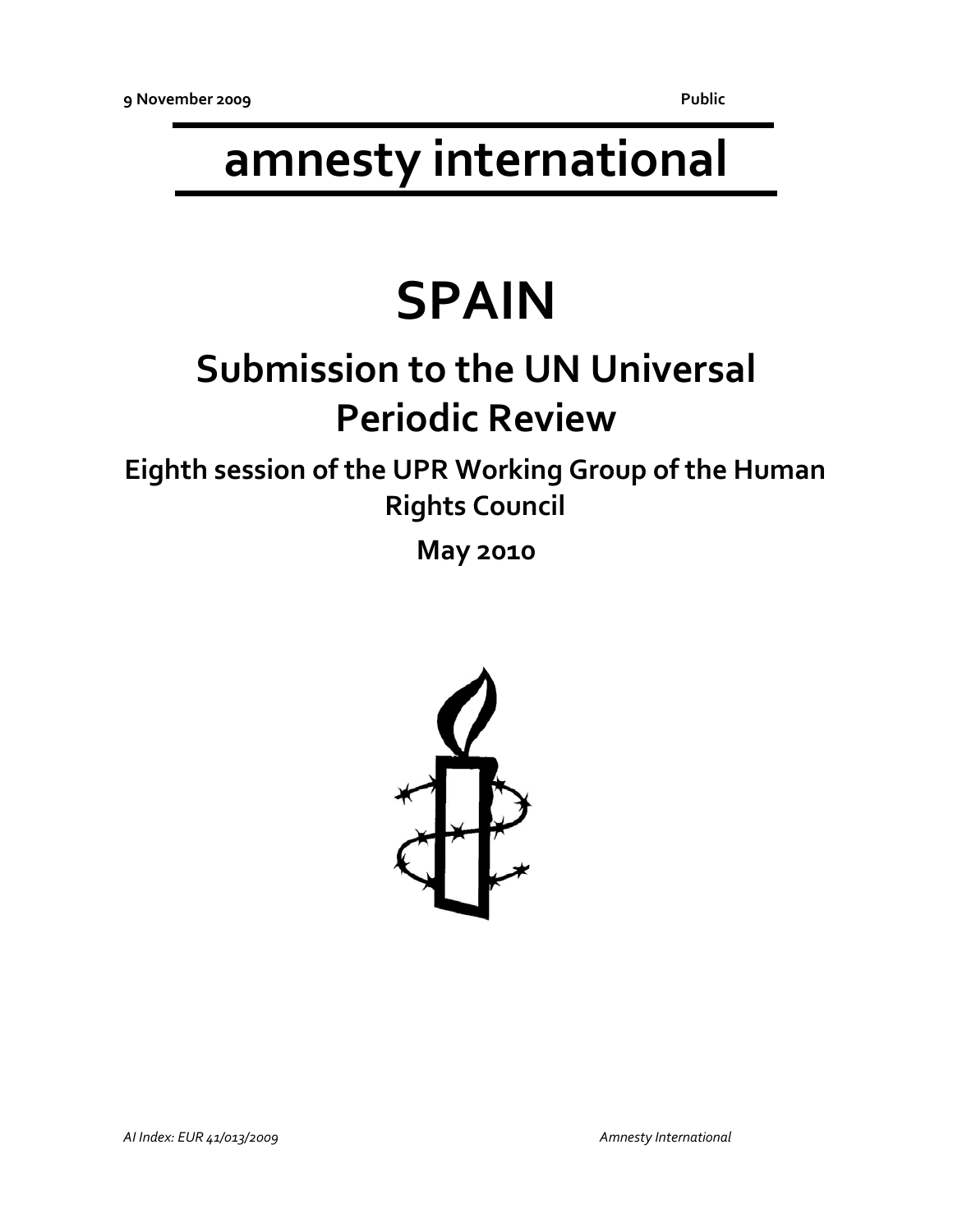# **amnesty international**

# **SPAIN**

## **Submission to the UN Universal Periodic Review**

**Eighth session of the UPR Working Group of the Human Rights Council**

**May 2010**

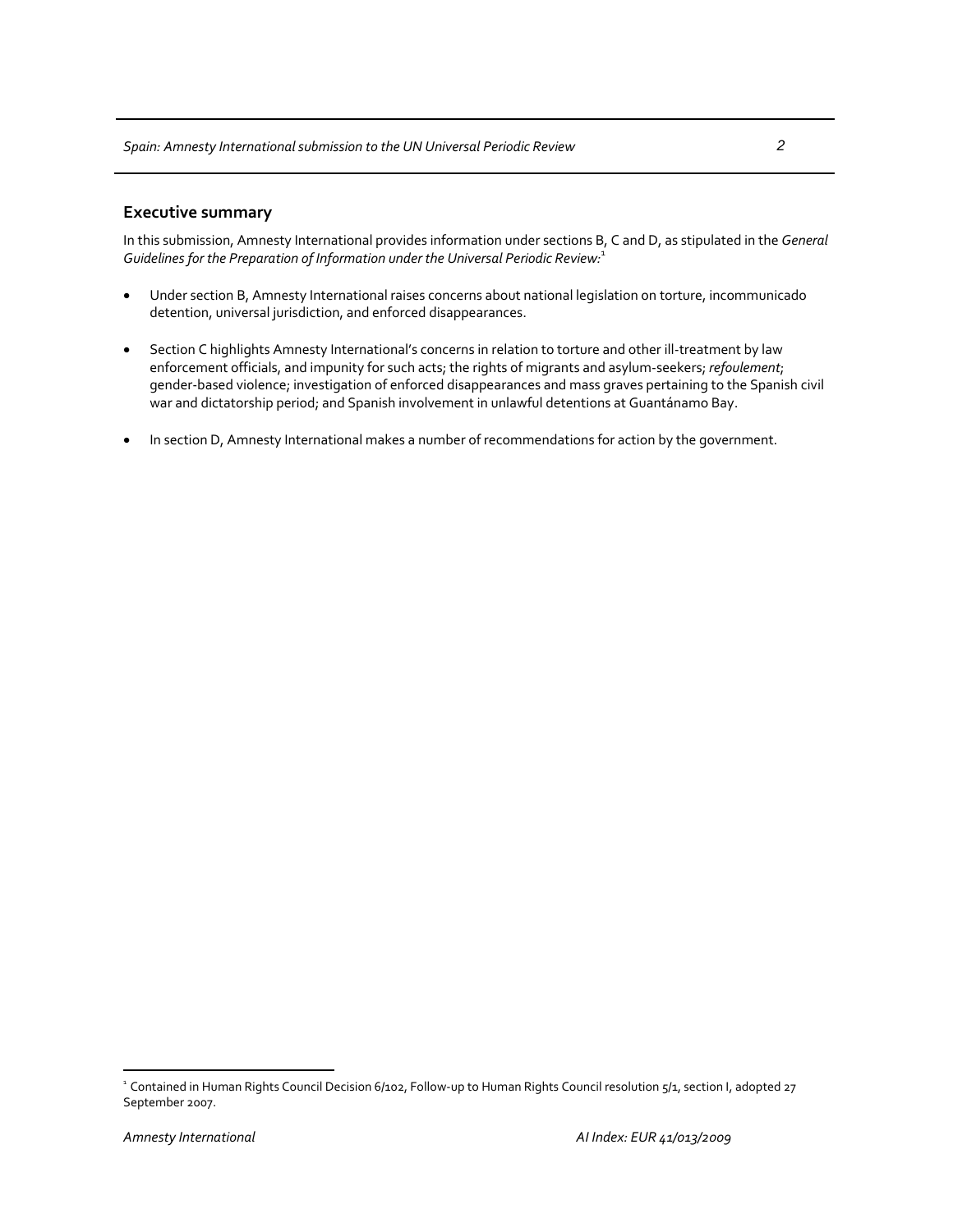In this submission, Amnesty International provides information under sections B, C and D, as stipulated in the *General Guidelines for the Preparation of Information under the Universal Periodic Review:*<sup>1</sup>

- Under section B, Amnesty International raises concerns about national legislation on torture, incommunicado detention, universal jurisdiction, and enforced disappearances.
- Section C highlights Amnesty International's concerns in relation to torture and other ill-treatment by law enforcement officials, and impunity for such acts; the rights of migrants and asylum‐seekers; *refoulement*; gender‐based violence; investigation of enforced disappearances and mass graves pertaining to the Spanish civil war and dictatorship period; and Spanish involvement in unlawful detentions at Guantánamo Bay.
- In section D, Amnesty International makes a number of recommendations for action by the government.

 $\overline{a}$ 

<sup>&</sup>lt;sup>1</sup> Contained in Human Rights Council Decision 6/102, Follow-up to Human Rights Council resolution 5/1, section I, adopted 27 September 2007.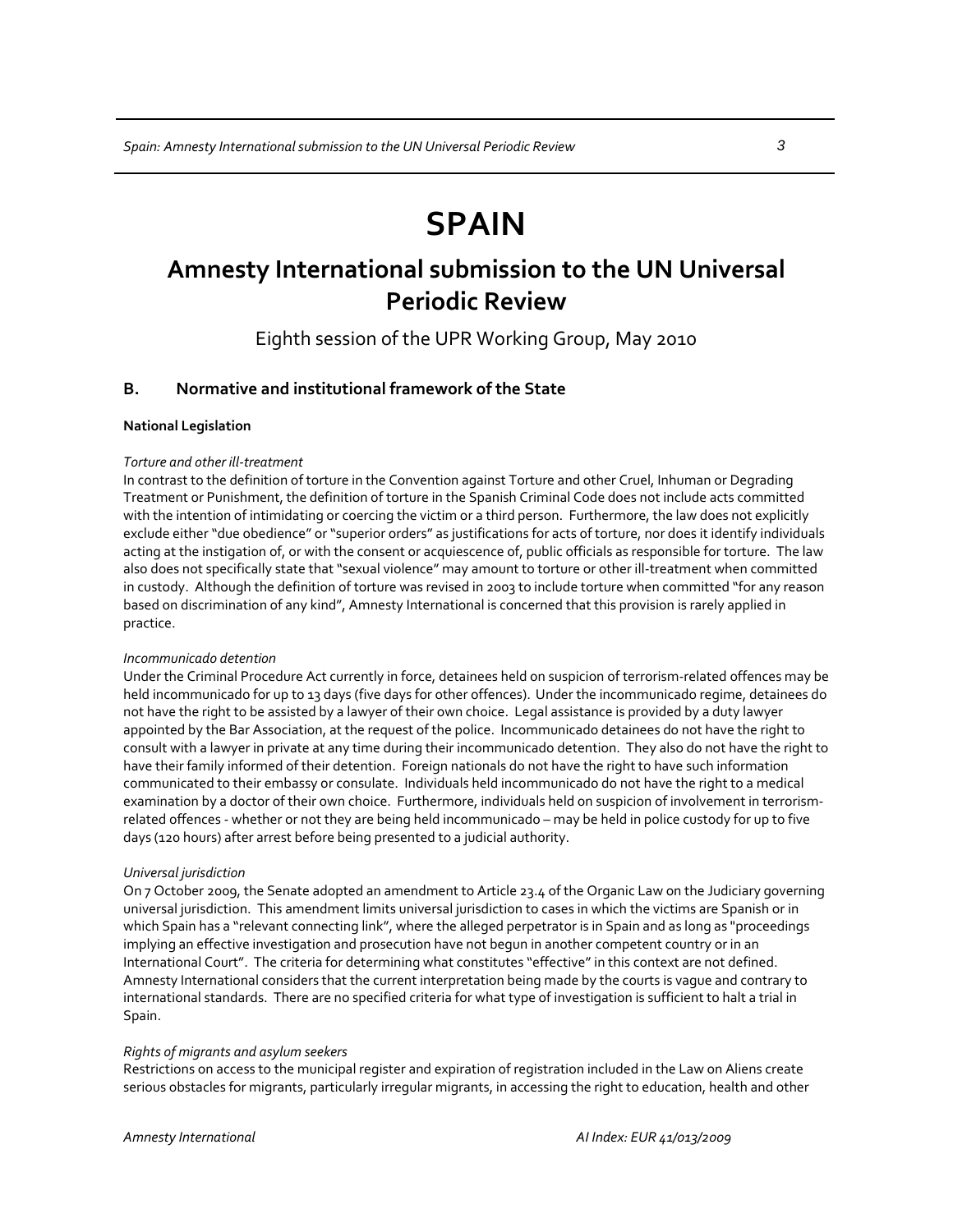## **SPAIN**

## **Amnesty International submission to the UN Universal Periodic Review**

Eighth session of the UPR Working Group, May 2010

## **B. Normative and institutional framework of the State**

## **National Legislation**

## *Torture and other ill‐treatment*

In contrast to the definition of torture in the Convention against Torture and other Cruel, Inhuman or Degrading Treatment or Punishment, the definition of torture in the Spanish Criminal Code does not include acts committed with the intention of intimidating or coercing the victim or a third person. Furthermore, the law does not explicitly exclude either "due obedience" or "superior orders" as justifications for acts of torture, nor does it identify individuals acting at the instigation of, or with the consent or acquiescence of, public officials as responsible for torture. The law also does not specifically state that "sexual violence" may amount to torture or other ill-treatment when committed in custody. Although the definition of torture was revised in 2003 to include torture when committed "for any reason based on discrimination of any kind", Amnesty International is concerned that this provision is rarely applied in practice.

#### *Incommunicado detention*

Under the Criminal Procedure Act currently in force, detainees held on suspicion of terrorism‐related offences may be held incommunicado for up to 13 days (five days for other offences). Under the incommunicado regime, detainees do not have the right to be assisted by a lawyer of their own choice. Legal assistance is provided by a duty lawyer appointed by the Bar Association, at the request of the police. Incommunicado detainees do not have the right to consult with a lawyer in private at any time during their incommunicado detention. They also do not have the right to have their family informed of their detention. Foreign nationals do not have the right to have such information communicated to their embassy or consulate. Individuals held incommunicado do not have the right to a medical examination by a doctor of their own choice. Furthermore, individuals held on suspicion of involvement in terrorismrelated offences ‐ whether or not they are being held incommunicado – may be held in police custody for up to five days (120 hours) after arrest before being presented to a judicial authority.

#### *Universal jurisdiction*

On 7 October 2009, the Senate adopted an amendment to Article 23.4 of the Organic Law on the Judiciary governing universal jurisdiction. This amendment limits universal jurisdiction to cases in which the victims are Spanish or in which Spain has a "relevant connecting link", where the alleged perpetrator is in Spain and as long as "proceedings implying an effective investigation and prosecution have not begun in another competent country or in an International Court". The criteria for determining what constitutes "effective"in this context are not defined. Amnesty International considers that the current interpretation being made by the courts is vague and contrary to international standards. There are no specified criteria for what type of investigation is sufficient to halt a trial in Spain.

## *Rights of migrants and asylum seekers*

Restrictions on access to the municipal register and expiration of registration included in the Law on Aliens create serious obstacles for migrants, particularly irregular migrants, in accessing the right to education, health and other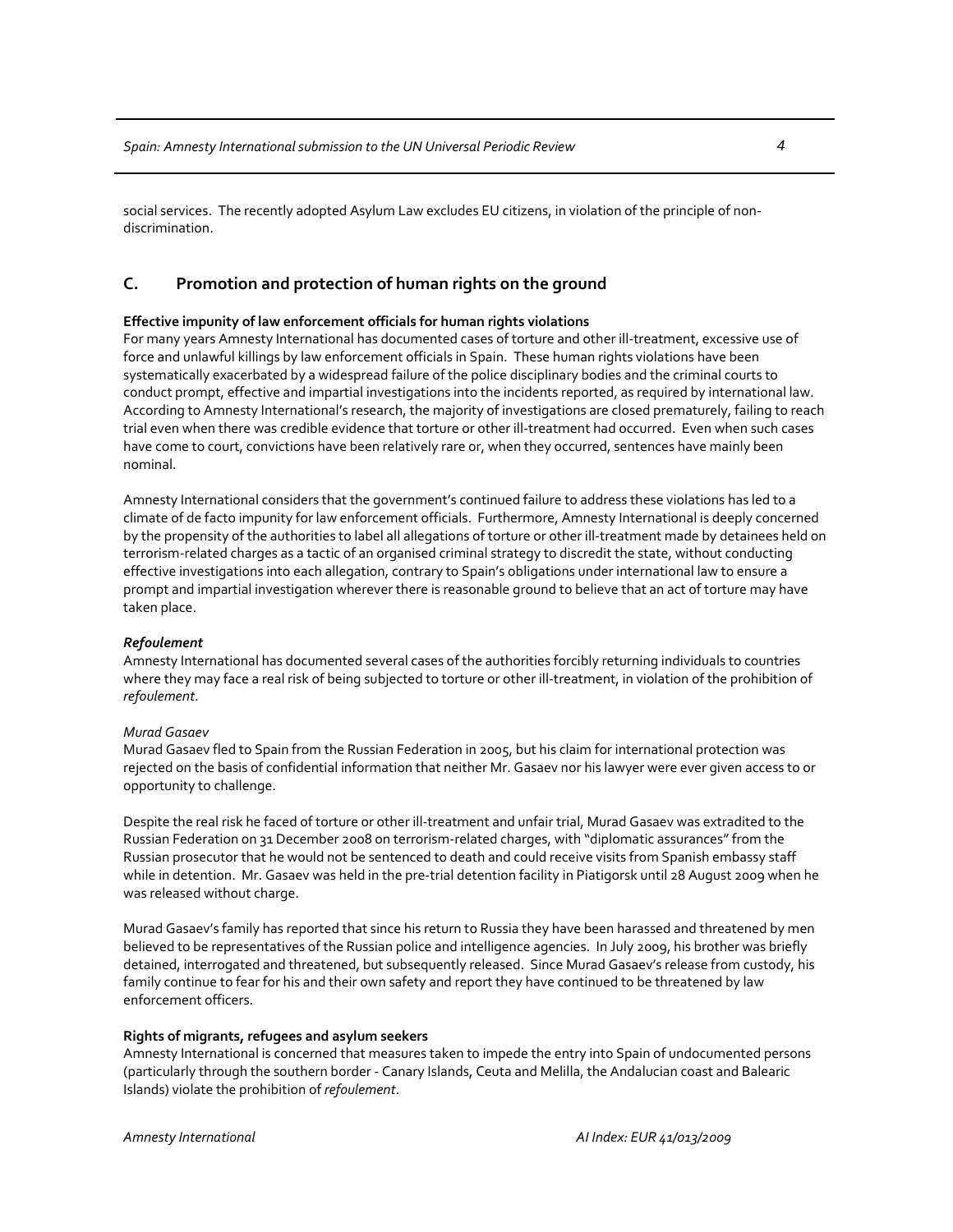social services. The recently adopted Asylum Law excludes EU citizens, in violation of the principle of non‐ discrimination.

## **C. Promotion and protection of human rights on the ground**

## **Effective impunity of law enforcement officials for human rights violations**

For many years Amnesty International has documented cases of torture and other ill‐treatment, excessive use of force and unlawful killings by law enforcement officials in Spain. These human rights violations have been systematically exacerbated by a widespread failure of the police disciplinary bodies and the criminal courts to conduct prompt, effective and impartial investigations into the incidents reported, as required by international law. According to Amnesty International's research, the majority of investigations are closed prematurely, failing to reach trial even when there was credible evidence that torture or other ill‐treatment had occurred. Even when such cases have come to court, convictions have been relatively rare or, when they occurred, sentences have mainly been nominal.

Amnesty International considers that the government's continued failure to address these violations has led to a climate of de facto impunity for law enforcement officials. Furthermore, Amnesty International is deeply concerned by the propensity of the authorities to label all allegations of torture or other ill‐treatment made by detainees held on terrorism‐related charges as a tactic of an organised criminal strategy to discredit the state, without conducting effective investigations into each allegation, contrary to Spain's obligations under international law to ensure a prompt and impartial investigation wherever there is reasonable ground to believe that an act of torture may have taken place.

### *Refoulement*

Amnesty International has documented several cases of the authorities forcibly returning individuals to countries where they may face a real risk of being subjected to torture or other ill-treatment, in violation of the prohibition of *refoulement*.

### *Murad Gasaev*

Murad Gasaev fled to Spain from the Russian Federation in 2005, but his claim for international protection was rejected on the basis of confidential information that neither Mr. Gasaev nor his lawyer were ever given access to or opportunity to challenge.

Despite the real risk he faced of torture or other ill-treatment and unfair trial, Murad Gasaev was extradited to the Russian Federation on 31 December 2008 on terrorism-related charges, with "diplomatic assurances" from the Russian prosecutor that he would not be sentenced to death and could receive visits from Spanish embassy staff while in detention. Mr. Gasaev was held in the pre-trial detention facility in Piatigorsk until 28 August 2009 when he was released without charge.

Murad Gasaev's family has reported that since his return to Russia they have been harassed and threatened by men believed to be representatives of the Russian police and intelligence agencies. In July 2009, his brother was briefly detained, interrogated and threatened, but subsequently released. Since Murad Gasaev's release from custody, his family continue to fear for his and their own safety and report they have continued to be threatened by law enforcement officers.

## **Rights of migrants, refugees and asylum seekers**

Amnesty International is concerned that measures taken to impede the entry into Spain of undocumented persons (particularly through the southern border ‐ Canary Islands, Ceuta and Melilla, the Andalucian coast and Balearic Islands) violate the prohibition of *refoulement*.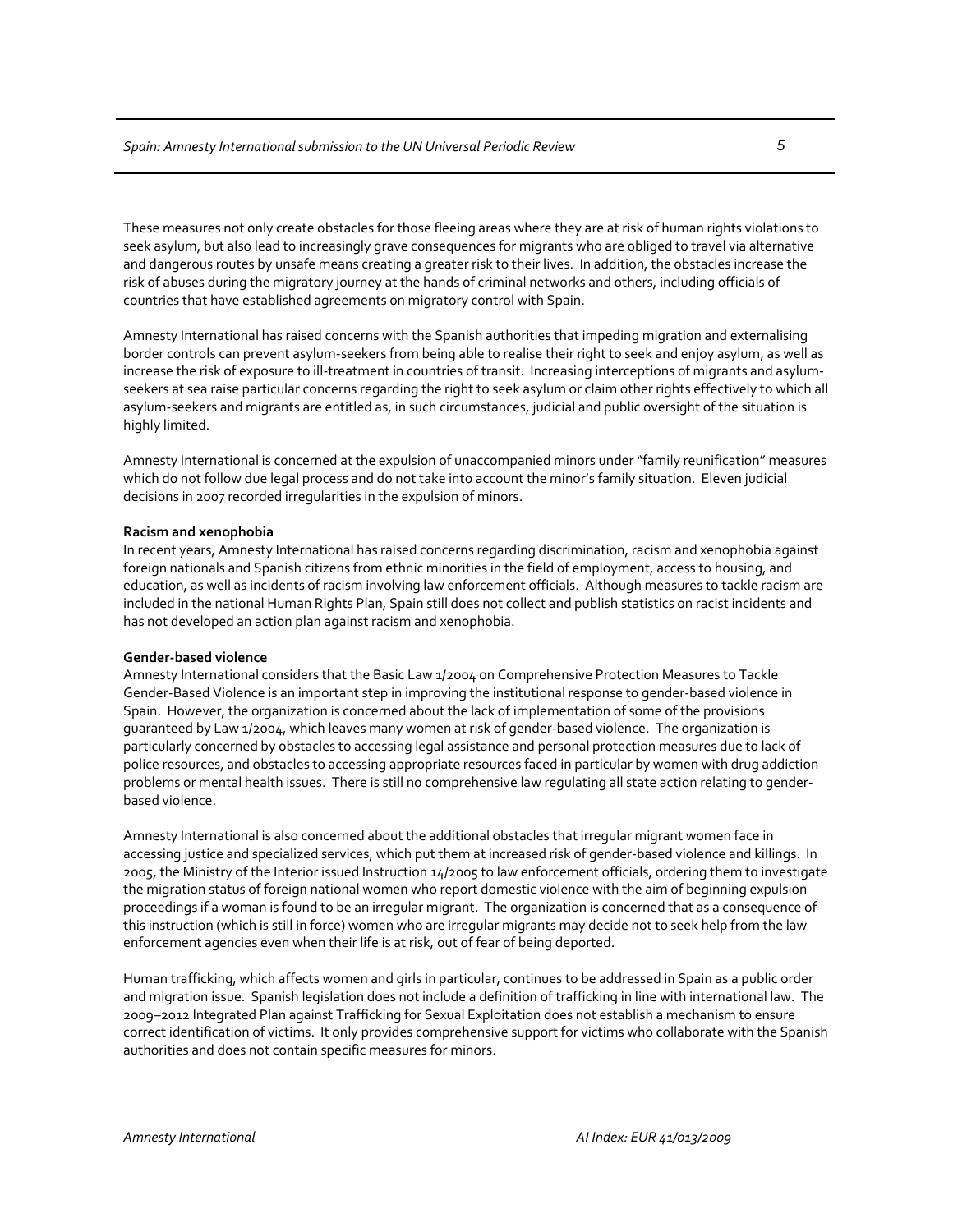These measures not only create obstacles for those fleeing areas where they are at risk of human rights violations to seek asylum, but also lead to increasingly grave consequences for migrants who are obliged to travel via alternative and dangerous routes by unsafe means creating a greater risk to their lives. In addition, the obstacles increase the risk of abuses during the migratory journey at the hands of criminal networks and others, including officials of countries that have established agreements on migratory control with Spain.

Amnesty International has raised concerns with the Spanish authorities that impeding migration and externalising border controls can prevent asylum‐seekers from being able to realise their right to seek and enjoy asylum, as well as increase the risk of exposure to ill-treatment in countries of transit. Increasing interceptions of migrants and asylumseekers at sea raise particular concerns regarding the right to seek asylum or claim other rights effectively to which all asylum‐seekers and migrants are entitled as, in such circumstances, judicial and public oversight of the situation is highly limited.

Amnesty International is concerned at the expulsion of unaccompanied minors under "family reunification" measures which do not follow due legal process and do not take into account the minor's family situation. Eleven judicial decisions in 2007 recorded irregularities in the expulsion of minors.

#### **Racism and xenophobia**

In recent years, Amnesty International has raised concerns regarding discrimination, racism and xenophobia against foreign nationals and Spanish citizens from ethnic minorities in the field of employment, access to housing, and education, as well as incidents of racism involving law enforcement officials. Although measures to tackle racism are included in the national Human Rights Plan, Spain still does not collect and publish statistics on racist incidents and has not developed an action plan against racism and xenophobia.

## **Gender‐based violence**

Amnesty International considers that the Basic Law 1/2004 on Comprehensive Protection Measures to Tackle Gender‐Based Violence is an important step in improving the institutional response to gender‐based violence in Spain. However, the organization is concerned about the lack of implementation of some of the provisions guaranteed by Law 1/2004, which leaves many women at risk of gender‐based violence. The organization is particularly concerned by obstacles to accessing legal assistance and personal protection measures due to lack of police resources, and obstacles to accessing appropriate resources faced in particular by women with drug addiction problems or mental health issues. There is still no comprehensive law regulating all state action relating to gender‐ based violence.

Amnesty International is also concerned about the additional obstacles that irregular migrant women face in accessing justice and specialized services, which put them at increased risk of gender‐based violence and killings. In 2005, the Ministry of the Interior issued Instruction 14/2005 to law enforcement officials, ordering them to investigate the migration status of foreign national women who report domestic violence with the aim of beginning expulsion proceedings if a woman is found to be an irregular migrant. The organization is concerned that as a consequence of this instruction (which is still in force) women who are irregular migrants may decide not to seek help from the law enforcement agencies even when their life is at risk, out of fear of being deported.

Human trafficking, which affects women and girls in particular, continues to be addressed in Spain as a public order and migration issue. Spanish legislation does not include a definition of trafficking in line with international law. The 2009–2012 Integrated Plan against Trafficking for Sexual Exploitation does not establish a mechanism to ensure correct identification of victims. It only provides comprehensive support for victims who collaborate with the Spanish authorities and does not contain specific measures for minors.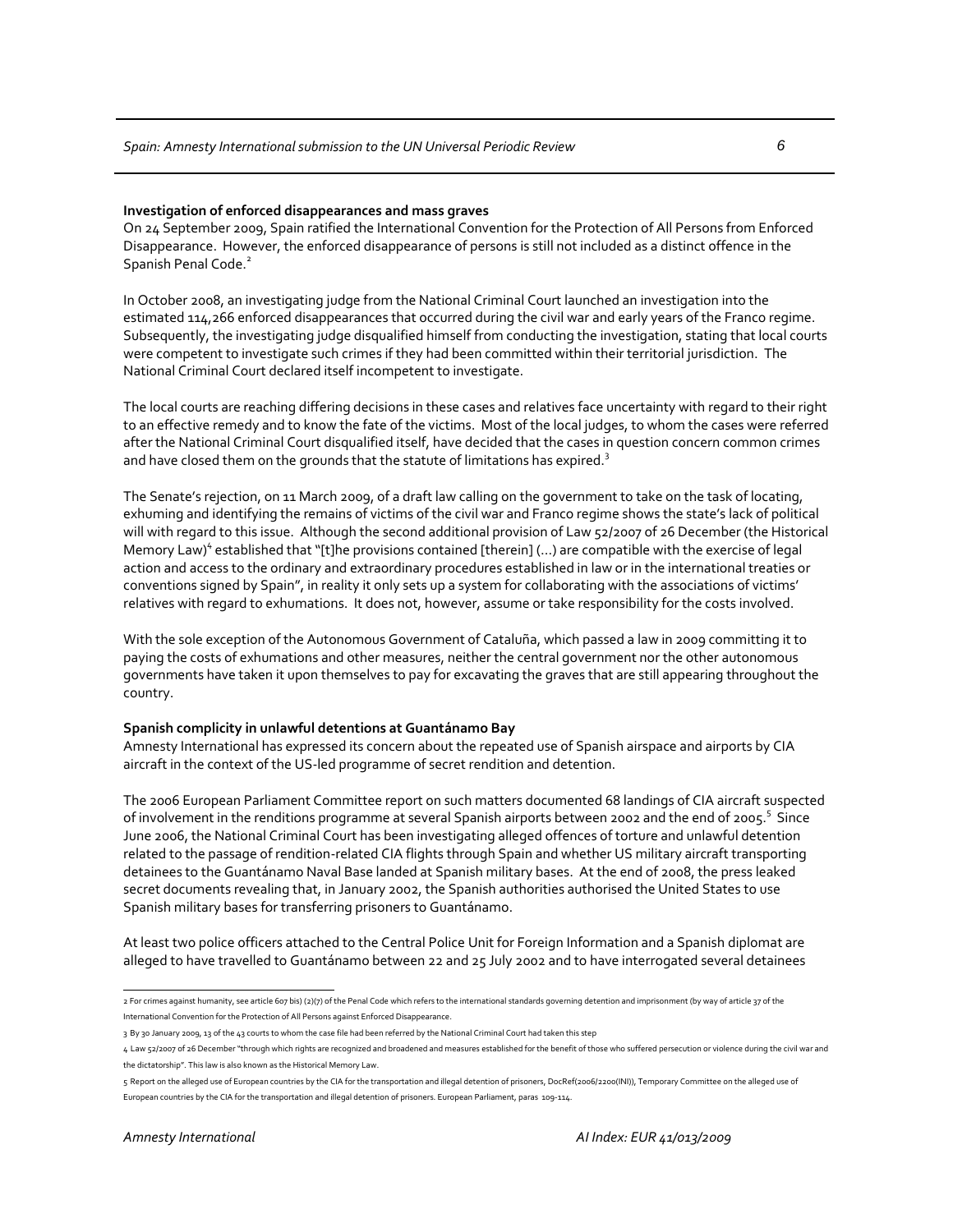#### **Investigation of enforced disappearances and mass graves**

On 24 September 2009, Spain ratified the International Convention for the Protection of All Persons from Enforced Disappearance. However, the enforced disappearance of persons is still not included as a distinct offence in the Spanish Penal Code.<sup>2</sup>

In October 2008, an investigating judge from the National Criminal Court launched an investigation into the estimated 114,266 enforced disappearances that occurred during the civil war and early years of the Franco regime. Subsequently, the investigating judge disqualified himself from conducting the investigation, stating that local courts were competent to investigate such crimes if they had been committed within their territorial jurisdiction. The National Criminal Court declared itself incompetent to investigate.

The local courts are reaching differing decisions in these cases and relatives face uncertainty with regard to their right to an effective remedy and to know the fate of the victims. Most of the local judges, to whom the cases were referred after the National Criminal Court disqualified itself, have decided that the cases in question concern common crimes and have closed them on the grounds that the statute of limitations has expired. $^3$ 

The Senate's rejection, on 11 March 2009, of a draft law calling on the government to take on the task of locating, exhuming and identifying the remains of victims of the civil war and Franco regime shows the state's lack of political will with regard to this issue. Although the second additional provision of Law 52/2007 of 26 December (the Historical Memory Law)<sup>4</sup> established that "[t]he provisions contained [therein] (...) are compatible with the exercise of legal action and access to the ordinary and extraordinary procedures established in law or in the international treaties or conventions signed by Spain", in reality it only sets up a system for collaborating with the associations of victims' relatives with regard to exhumations. It does not, however, assume or take responsibility for the costs involved.

With the sole exception of the Autonomous Government of Cataluña, which passed a law in 2009 committing it to paying the costs of exhumations and other measures, neither the central government nor the other autonomous governments have taken it upon themselves to pay for excavating the graves that are still appearing throughout the country.

## **Spanish complicity in unlawful detentions at Guantánamo Bay**

Amnesty International has expressed its concern about the repeated use of Spanish airspace and airports by CIA aircraft in the context of the US‐led programme of secret rendition and detention.

The 2006 European Parliament Committee report on such matters documented 68 landings of CIA aircraft suspected of involvement in the renditions programme at several Spanish airports between 2002 and the end of 2005.<sup>5</sup> Since June 2006, the National Criminal Court has been investigating alleged offences of torture and unlawful detention related to the passage of rendition‐related CIA flights through Spain and whether US military aircraft transporting detainees to the Guantánamo Naval Base landed at Spanish military bases. At the end of 2008, the press leaked secret documents revealing that, in January 2002, the Spanish authorities authorised the United States to use Spanish military bases for transferring prisoners to Guantánamo.

At least two police officers attached to the Central Police Unit for Foreign Information and a Spanish diplomat are alleged to have travelled to Guantánamo between 22 and 25 July 2002 and to have interrogated several detainees

 2 For crimes against humanity, see article 607 bis) (2)(7) of the Penal Code which refers to the international standards governing detention and imprisonment (by way of article 37 of the International Convention for the Protection of All Persons against Enforced Disappearance.

<sup>3</sup> By 30 January 2009, 13 of the 43 courts to whom the case file had been referred by the National Criminal Court had taken this step

<sup>4</sup> Law 52/2007 of 26 December"through which rights are recognized and broadened and measures established for the benefit of those who suffered persecution or violence during the civil war and the dictatorship". This law is also known as the Historical Memory Law.

<sup>5</sup> Report on the alleged use of European countries by the CIA for the transportation and illegal detention of prisoners, DocRef(2006/2200(INI)), Temporary Committee on the alleged use of European countries by the CIA for the transportation and illegal detention of prisoners. European Parliament, paras 109‐114.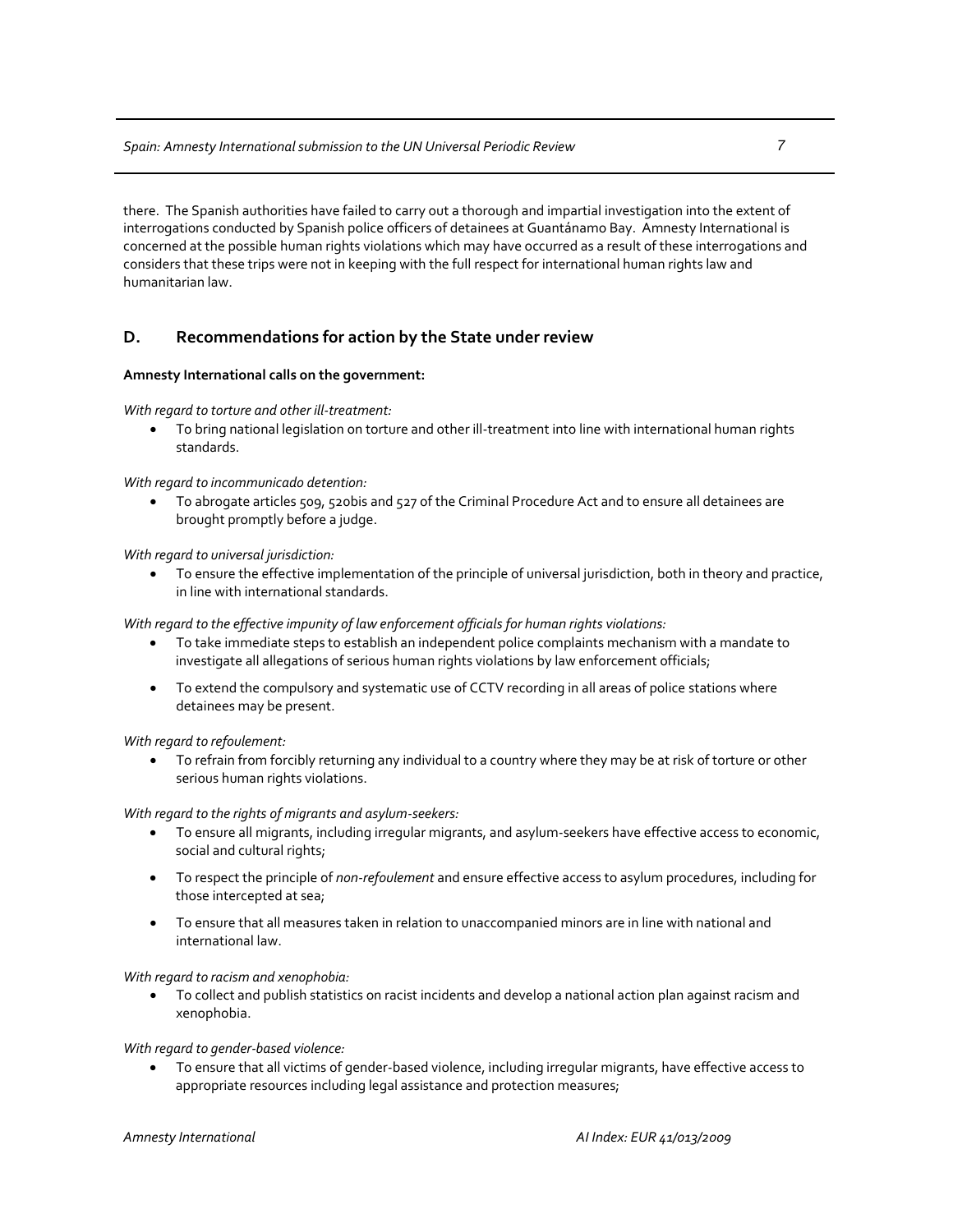there. The Spanish authorities have failed to carry out a thorough and impartial investigation into the extent of interrogations conducted by Spanish police officers of detainees at Guantánamo Bay. Amnesty International is concerned at the possible human rights violations which may have occurred as a result of these interrogations and considers that these trips were not in keeping with the full respect for international human rights law and humanitarian law.

## **D. Recommendations for action by the State under review**

## **Amnesty International calls on the government:**

*With regard to torture and other ill‐treatment:*

To bring national legislation on torture and other ill-treatment into line with international human rights standards.

## *With regard to incommunicado detention:*

• To abrogate articles 509, 520bis and 527 of the Criminal Procedure Act and to ensure all detainees are brought promptly before a judge.

## *With regard to universal jurisdiction:*

• To ensure the effective implementation of the principle of universal jurisdiction, both in theory and practice, in line with international standards.

*With regard to the effective impunity of law enforcement officials for human rights violations:*

- To take immediate steps to establish an independent police complaints mechanism with a mandate to investigate all allegations of serious human rights violations by law enforcement officials;
- To extend the compulsory and systematic use of CCTV recording in all areas of police stations where detainees may be present.

*With regard to refoulement:*

• To refrain from forcibly returning any individual to a country where they may be at risk of torture or other serious human rights violations.

## *With regard to the rights of migrants and asylum‐seekers:*

- To ensure all migrants, including irregular migrants, and asylum‐seekers have effective access to economic, social and cultural rights;
- To respect the principle of *non‐refoulement* and ensure effective access to asylum procedures, including for those intercepted at sea;
- To ensure that all measures taken in relation to unaccompanied minors are in line with national and international law.

## *With regard to racism and xenophobia:*

• To collect and publish statistics on racist incidents and develop a national action plan against racism and xenophobia.

## *With regard to gender‐based violence:*

• To ensure that all victims of gender‐based violence, including irregular migrants, have effective access to appropriate resources including legal assistance and protection measures;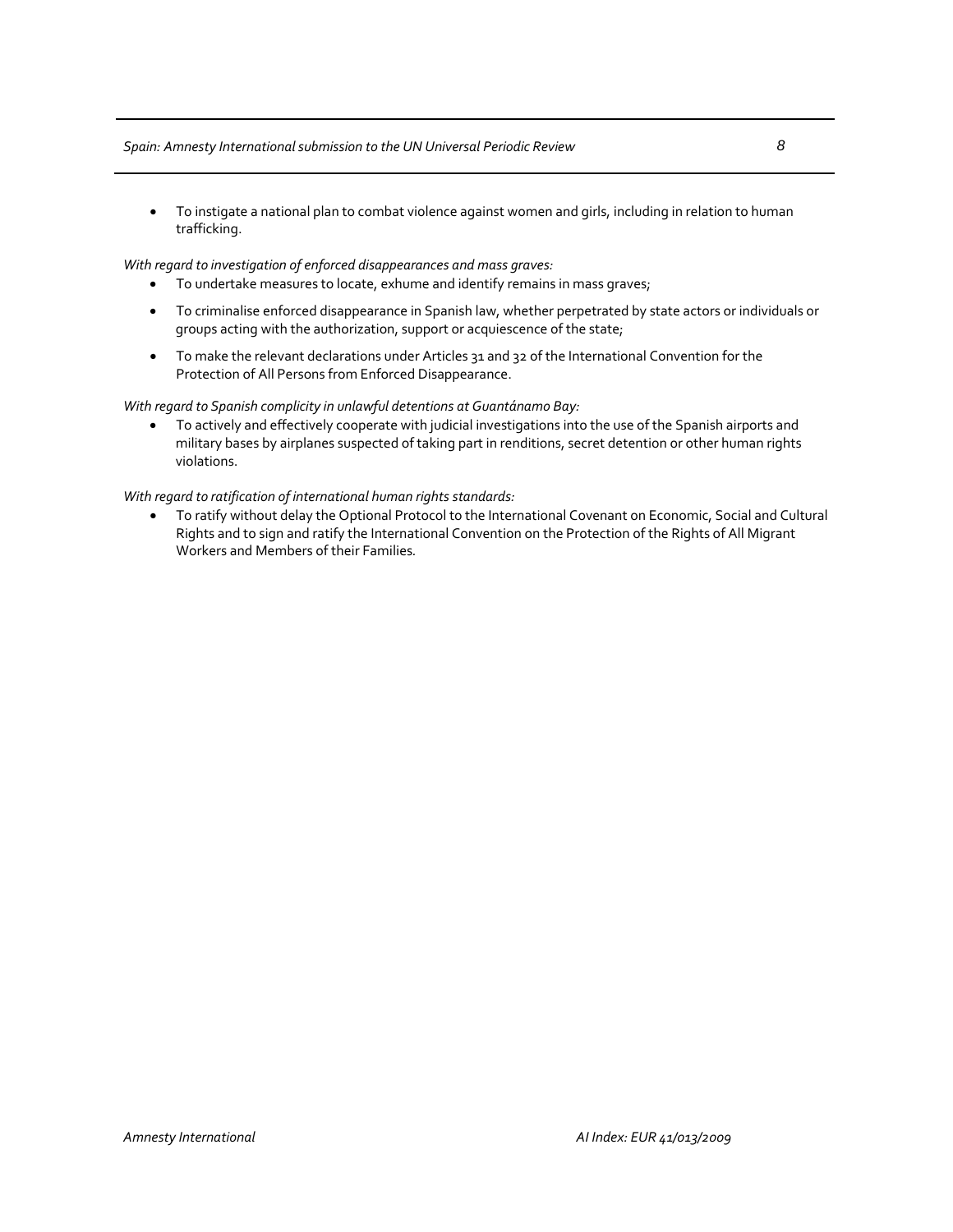## *Spain: Amnesty Internationalsubmission to the UN Universal Periodic Review 8*

• To instigate a national plan to combat violence against women and girls, including in relation to human trafficking.

*With regard to investigation of enforced disappearances and mass graves:*

- To undertake measures to locate, exhume and identify remains in mass graves;
- To criminalise enforced disappearance in Spanish law, whether perpetrated by state actors or individuals or groups acting with the authorization, support or acquiescence of the state;
- To make the relevant declarations under Articles 31 and 32 of the International Convention for the Protection of All Persons from Enforced Disappearance.

*With regard to Spanish complicity in unlawful detentions at Guantánamo Bay:*

• To actively and effectively cooperate with judicial investigations into the use of the Spanish airports and military bases by airplanes suspected of taking part in renditions, secret detention or other human rights violations.

*With regard to ratification of international human rights standards:*

• To ratify without delay the Optional Protocol to the International Covenant on Economic, Social and Cultural Rights and to sign and ratify the International Convention on the Protection of the Rights of All Migrant Workers and Members of their Families*.*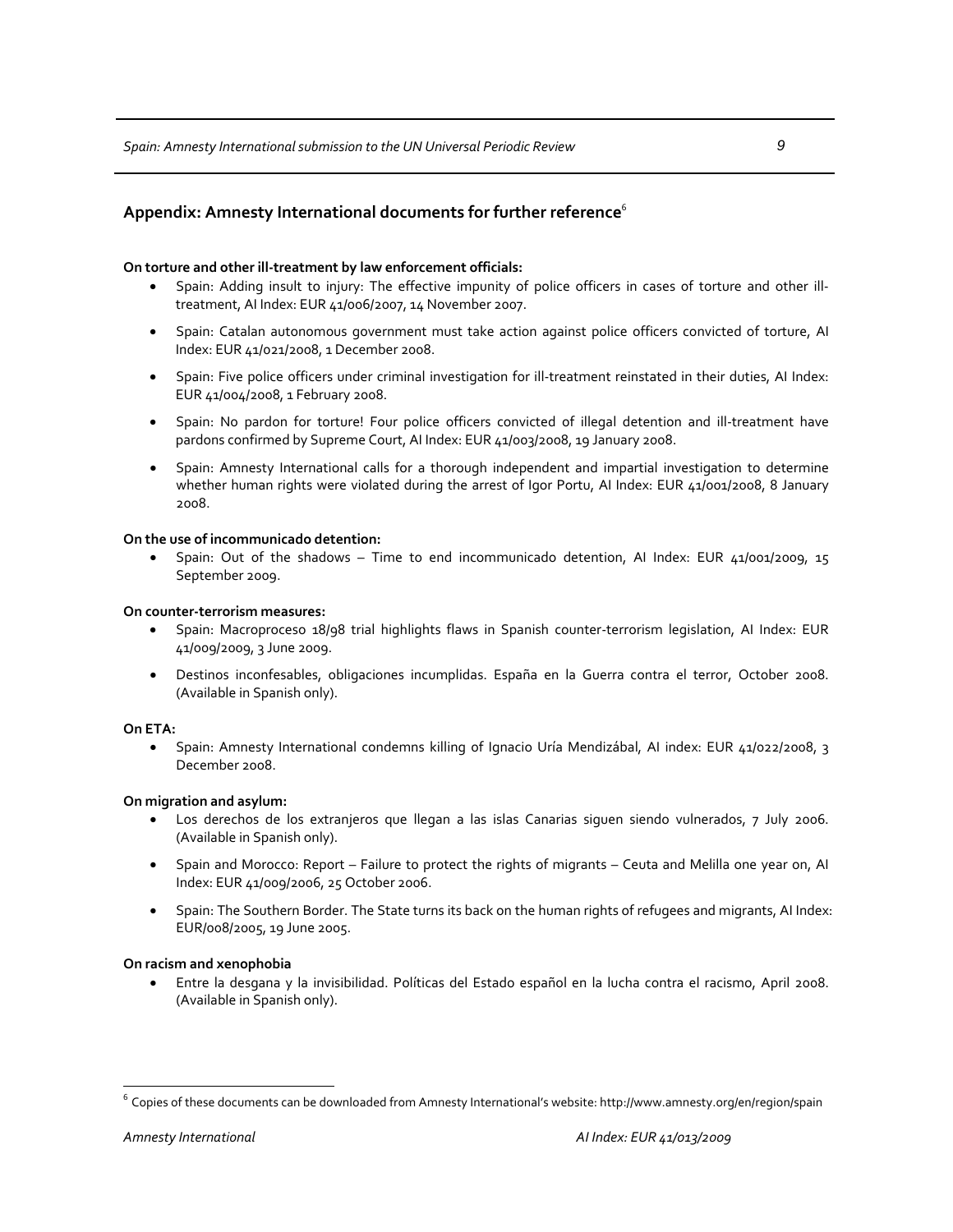## **On torture and other ill‐treatment by law enforcement officials:**

- Spain: Adding insult to injury: The effective impunity of police officers in cases of torture and other ill‐ treatment, AI Index: EUR 41/006/2007, 14 November 2007.
- Spain: Catalan autonomous government must take action against police officers convicted of torture, AI Index: EUR 41/021/2008, 1 December 2008.
- Spain: Five police officers under criminal investigation for ill-treatment reinstated in their duties, AI Index: EUR 41/004/2008, 1 February 2008.
- Spain: No pardon for torture! Four police officers convicted of illegal detention and ill‐treatment have pardons confirmed by Supreme Court, AI Index: EUR 41/003/2008, 19 January 2008.
- Spain: Amnesty International calls for a thorough independent and impartial investigation to determine whether human rights were violated during the arrest of Igor Portu, AI Index: EUR 41/001/2008, 8 January 2008.

## **On the use of incommunicado detention:**

• Spain: Out of the shadows – Time to end incommunicado detention, AI Index: EUR 41/001/2009, 15 September 2009.

## **On counter‐terrorism measures:**

- Spain: Macroproceso 18/98 trial highlights flaws in Spanish counter‐terrorism legislation, AI Index: EUR 41/009/2009, 3 June 2009.
- Destinos inconfesables, obligaciones incumplidas. España en la Guerra contra el terror, October 2008. (Available in Spanish only).

## **On ETA:**

• Spain: Amnesty International condemns killing of Ignacio Uría Mendizábal, AI index: EUR 41/022/2008, 3 December 2008.

## **On migration and asylum:**

- Los derechos de los extranjeros que llegan a las islas Canarias siguen siendo vulnerados, 7 July 2006. (Available in Spanish only).
- Spain and Morocco: Report Failure to protect the rights of migrants Ceuta and Melilla one year on, AI Index: EUR 41/009/2006, 25 October 2006.
- Spain: The Southern Border. The State turns its back on the human rights of refugees and migrants, AI Index: EUR/008/2005, 19 June 2005.

## **On racism and xenophobia**

• Entre la desgana y la invisibilidad. Políticas del Estado español en la lucha contra el racismo, April 2008. (Available in Spanish only).

 $\overline{a}$ 

 $^6$  Copies of these documents can be downloaded from Amnesty International's website: http://www.amnesty.org/en/region/spain